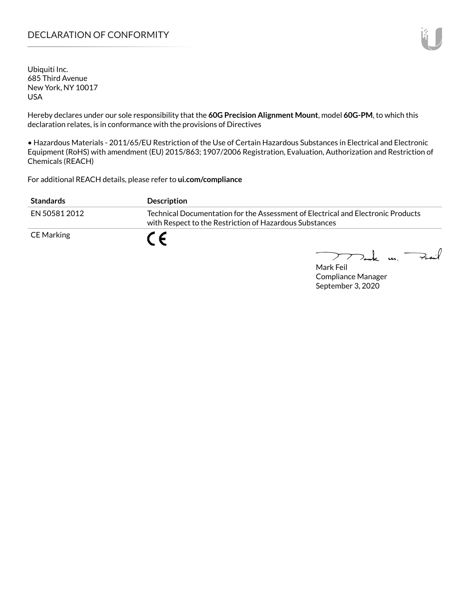# DECLARATION OF CONFORMITY

Ubiquiti Inc. 685 Third Avenue New York, NY 10017 USA

Hereby declares under our sole responsibility that the **60G Precision Alignment Mount**, model **60G-PM**, to which this declaration relates, is in conformance with the provisions of Directives

• Hazardous Materials - 2011/65/EU Restriction of the Use of Certain Hazardous Substances in Electrical and Electronic Equipment (RoHS) with amendment (EU) 2015/863; 1907/2006 Registration, Evaluation, Authorization and Restriction of Chemicals (REACH)

For additional REACH details, please refer to **<ui.com/compliance>**

| <b>Standards</b> | <b>Description</b>                                                                                                                          |
|------------------|---------------------------------------------------------------------------------------------------------------------------------------------|
| FN 50581 2012    | Technical Documentation for the Assessment of Electrical and Electronic Products<br>with Respect to the Restriction of Hazardous Substances |
| CE Marking       |                                                                                                                                             |

Mark m. Feit

Mark Feil Compliance Manager September 3, 2020